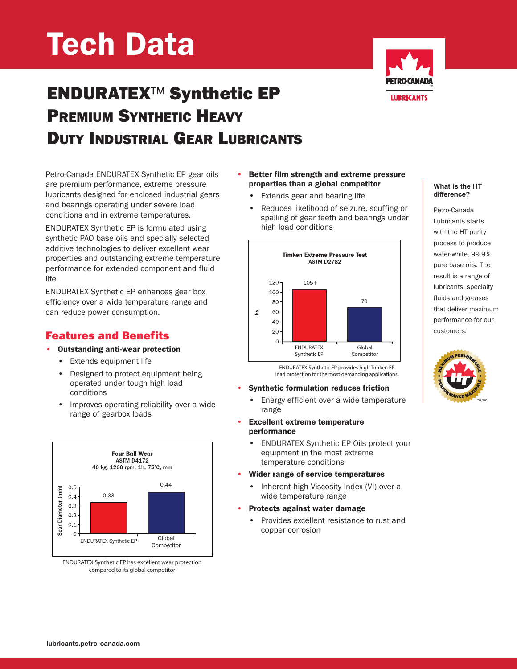# Tech Data

# ENDURATEX™ Synthetic EP PREMIUM SYNTHETIC HEAVY DUTY INDUSTRIAL GEAR LUBRICANTS



Petro-Canada ENDURATEX Synthetic EP gear oils are premium performance, extreme pressure lubricants designed for enclosed industrial gears and bearings operating under severe load conditions and in extreme temperatures.

ENDURATEX Synthetic EP is formulated using synthetic PAO base oils and specially selected additive technologies to deliver excellent wear properties and outstanding extreme temperature performance for extended component and fluid life.

ENDURATEX Synthetic EP enhances gear box efficiency over a wide temperature range and can reduce power consumption.

## Features and Benefits

- Outstanding anti-wear protection
	- Extends equipment life
	- Designed to protect equipment being operated under tough high load conditions
	- Improves operating reliability over a wide range of gearbox loads



ENDURATEX Synthetic EP has excellent wear protection compared to its global competitor

#### • Better film strength and extreme pressure properties than a global competitor

- Extends gear and bearing life
- Reduces likelihood of seizure, scuffing or spalling of gear teeth and bearings under high load conditions



ENDURATEX Synthetic EP provides high Timken EP load protection for the most demanding applications.

#### • Synthetic formulation reduces friction

- Energy efficient over a wide temperature range
- Excellent extreme temperature performance
	- ENDURATEX Synthetic EP Oils protect your equipment in the most extreme temperature conditions

#### • Wider range of service temperatures

- Inherent high Viscosity Index (VI) over a wide temperature range
- Protects against water damage
	- Provides excellent resistance to rust and copper corrosion

#### **What is the HT difference?**

Petro-Canada Lubricants starts with the HT purity process to produce water-white, 99.9% pure base oils. The result is a range of lubricants, specialty fluids and greases that deliver maximum performance for our customers.

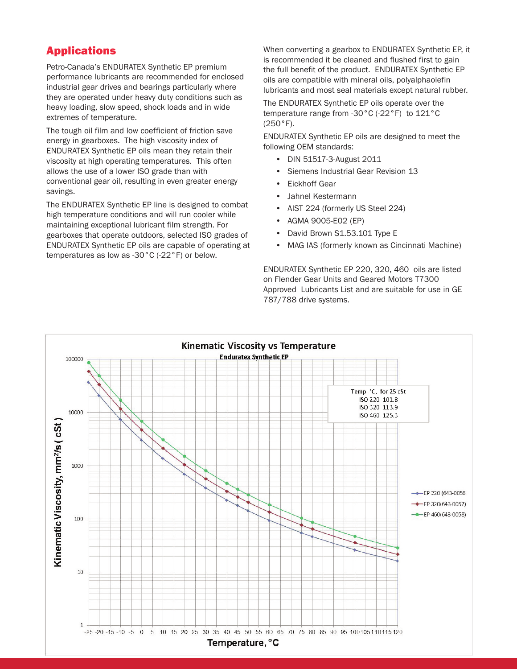### Applications

Petro-Canada's ENDURATEX Synthetic EP premium performance lubricants are recommended for enclosed industrial gear drives and bearings particularly where they are operated under heavy duty conditions such as heavy loading, slow speed, shock loads and in wide extremes of temperature.

The tough oil film and low coefficient of friction save energy in gearboxes. The high viscosity index of ENDURATEX Synthetic EP oils mean they retain their viscosity at high operating temperatures. This often allows the use of a lower ISO grade than with conventional gear oil, resulting in even greater energy savings.

The ENDURATEX Synthetic EP line is designed to combat high temperature conditions and will run cooler while maintaining exceptional lubricant film strength. For gearboxes that operate outdoors, selected ISO grades of ENDURATEX Synthetic EP oils are capable of operating at temperatures as low as -30°C (-22°F) or below.

When converting a gearbox to ENDURATEX Synthetic EP, it is recommended it be cleaned and flushed first to gain the full benefit of the product. ENDURATEX Synthetic EP oils are compatible with mineral oils, polyalphaolefin lubricants and most seal materials except natural rubber.

The ENDURATEX Synthetic EP oils operate over the temperature range from -30°C (-22°F) to 121°C (250°F).

ENDURATEX Synthetic EP oils are designed to meet the following OEM standards:

- DIN 51517-3-August 2011
- Siemens Industrial Gear Revision 13
- Eickhoff Gear
- Jahnel Kestermann
- AIST 224 (formerly US Steel 224)
- AGMA 9005-E02 (EP)
- David Brown S1.53.101 Type E
- MAG IAS (formerly known as Cincinnati Machine)

ENDURATEX Synthetic EP 220, 320, 460 oils are listed on Flender Gear Units and Geared Motors T7300 Approved Lubricants List and are suitable for use in GE 787/788 drive systems.

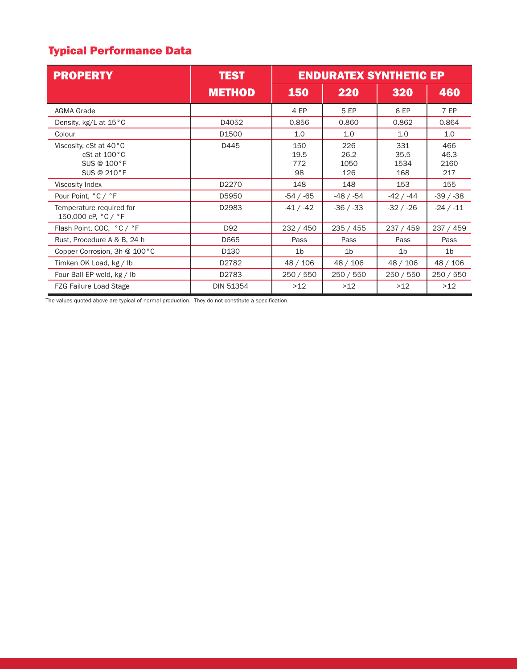# Typical Performance Data

| <b>PROPERTY</b>                                                      | <b>TEST</b>      | <b>ENDURATEX SYNTHETIC EP</b> |                            |                            |                            |
|----------------------------------------------------------------------|------------------|-------------------------------|----------------------------|----------------------------|----------------------------|
|                                                                      | <b>METHOD</b>    | 150                           | 220                        | 320                        | 460                        |
| <b>AGMA Grade</b>                                                    |                  | 4 EP                          | 5 EP                       | 6 EP                       | 7 EP                       |
| Density, kg/L at 15°C                                                | D4052            | 0.856                         | 0.860                      | 0.862                      | 0.864                      |
| Colour                                                               | D1500            | 1.0                           | 1.0                        | 1.0                        | 1.0                        |
| Viscosity, cSt at 40°C<br>cSt at 100°C<br>SUS @ 100°F<br>SUS @ 210°F | D445             | 150<br>19.5<br>772<br>98      | 226<br>26.2<br>1050<br>126 | 331<br>35.5<br>1534<br>168 | 466<br>46.3<br>2160<br>217 |
| Viscosity Index                                                      | D2270            | 148                           | 148                        | 153                        | 155                        |
| Pour Point, °C / °F                                                  | D5950            | $-54 / -65$                   | -48 / -54                  | -42 / -44                  | $-39/ -38$                 |
| Temperature required for<br>150,000 cP, °C / °F                      | D2983            | $-41 / -42$                   | $-36/ -33$                 | $-32 / -26$                | $-24 / -11$                |
| Flash Point, COC, °C / °F                                            | D92              | 232 / 450                     | 235 / 455                  | 237 / 459                  | 237 / 459                  |
| Rust, Procedure A & B, 24 h                                          | D665             | Pass                          | Pass                       | Pass                       | Pass                       |
| Copper Corrosion, 3h @ 100°C                                         | D130             | 1 <sub>b</sub>                | 1 <sub>b</sub>             | 1 <sub>b</sub>             | 1 <sub>b</sub>             |
| Timken OK Load, kg / lb                                              | D2782            | 48 / 106                      | 48 / 106                   | 48 / 106                   | 48 / 106                   |
| Four Ball EP weld, kg / lb                                           | D2783            | 250 / 550                     | 250 / 550                  | 250 / 550                  | 250/550                    |
| <b>FZG Failure Load Stage</b>                                        | <b>DIN 51354</b> | >12                           | >12                        | >12                        | >12                        |

The values quoted above are typical of normal production. They do not constitute a specification.